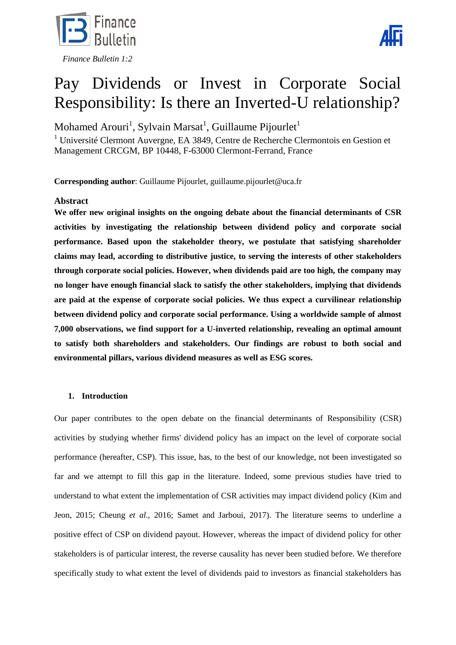



# Pay Dividends or Invest in Corporate Social Responsibility: Is there an Inverted-U relationship?

Mohamed Arouri $^1$ , Sylvain Marsat $^1$ , Guillaume Pijourlet $^1$ 

<sup>1</sup> Université Clermont Auvergne, EA 3849, Centre de Recherche Clermontois en Gestion et Management CRCGM, BP 10448, F-63000 Clermont-Ferrand, France

**Corresponding author**: Guillaume Pijourlet, guillaume.pijourlet@uca.fr

# **Abstract**

**We offer new original insights on the ongoing debate about the financial determinants of CSR activities by investigating the relationship between dividend policy and corporate social performance. Based upon the stakeholder theory, we postulate that satisfying shareholder claims may lead, according to distributive justice, to serving the interests of other stakeholders through corporate social policies. However, when dividends paid are too high, the company may no longer have enough financial slack to satisfy the other stakeholders, implying that dividends are paid at the expense of corporate social policies. We thus expect a curvilinear relationship between dividend policy and corporate social performance. Using a worldwide sample of almost 7,000 observations, we find support for a U-inverted relationship, revealing an optimal amount to satisfy both shareholders and stakeholders. Our findings are robust to both social and environmental pillars, various dividend measures as well as ESG scores.**

# **1. Introduction**

Our paper contributes to the open debate on the financial determinants of Responsibility (CSR) activities by studying whether firms' dividend policy has an impact on the level of corporate social performance (hereafter, CSP). This issue, has, to the best of our knowledge, not been investigated so far and we attempt to fill this gap in the literature. Indeed, some previous studies have tried to understand to what extent the implementation of CSR activities may impact dividend policy (Kim and Jeon, 2015; Cheung *et al.*, 2016; Samet and Jarboui, 2017). The literature seems to underline a positive effect of CSP on dividend payout. However, whereas the impact of dividend policy for other stakeholders is of particular interest, the reverse causality has never been studied before. We therefore specifically study to what extent the level of dividends paid to investors as financial stakeholders has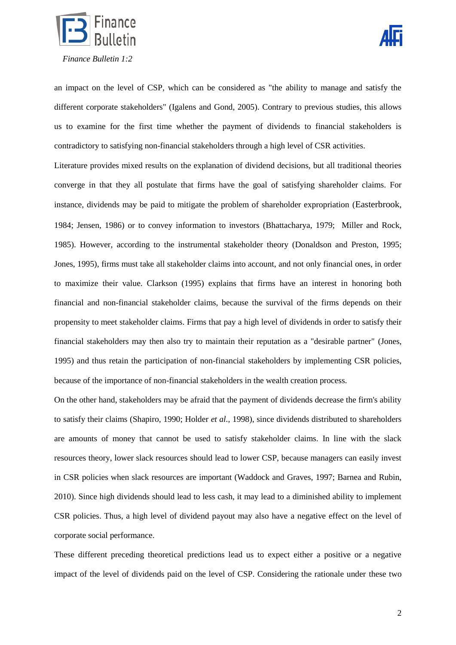



an impact on the level of CSP, which can be considered as "the ability to manage and satisfy the different corporate stakeholders" (Igalens and Gond, 2005). Contrary to previous studies, this allows us to examine for the first time whether the payment of dividends to financial stakeholders is contradictory to satisfying non-financial stakeholders through a high level of CSR activities.

Literature provides mixed results on the explanation of dividend decisions, but all traditional theories converge in that they all postulate that firms have the goal of satisfying shareholder claims. For instance, dividends may be paid to mitigate the problem of shareholder expropriation (Easterbrook, 1984; Jensen, 1986) or to convey information to investors (Bhattacharya, 1979; Miller and Rock, 1985). However, according to the instrumental stakeholder theory (Donaldson and Preston, 1995; Jones, 1995), firms must take all stakeholder claims into account, and not only financial ones, in order to maximize their value. Clarkson (1995) explains that firms have an interest in honoring both financial and non-financial stakeholder claims, because the survival of the firms depends on their propensity to meet stakeholder claims. Firms that pay a high level of dividends in order to satisfy their financial stakeholders may then also try to maintain their reputation as a "desirable partner" (Jones, 1995) and thus retain the participation of non-financial stakeholders by implementing CSR policies, because of the importance of non-financial stakeholders in the wealth creation process.

On the other hand, stakeholders may be afraid that the payment of dividends decrease the firm's ability to satisfy their claims (Shapiro, 1990; Holder *et al.*, 1998), since dividends distributed to shareholders are amounts of money that cannot be used to satisfy stakeholder claims. In line with the slack resources theory, lower slack resources should lead to lower CSP, because managers can easily invest in CSR policies when slack resources are important (Waddock and Graves, 1997; Barnea and Rubin, 2010). Since high dividends should lead to less cash, it may lead to a diminished ability to implement CSR policies. Thus, a high level of dividend payout may also have a negative effect on the level of corporate social performance.

These different preceding theoretical predictions lead us to expect either a positive or a negative impact of the level of dividends paid on the level of CSP. Considering the rationale under these two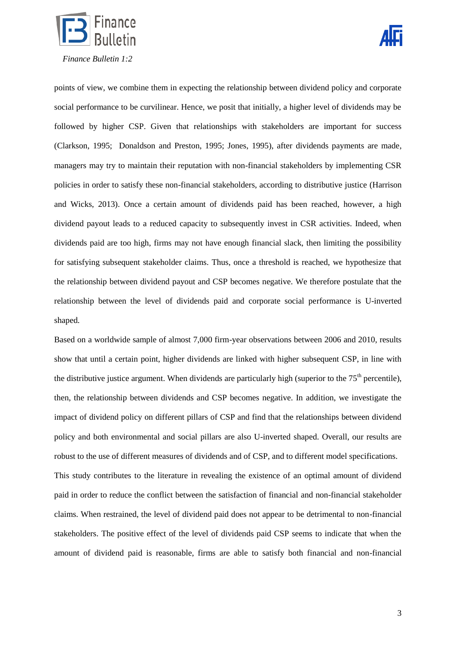



points of view, we combine them in expecting the relationship between dividend policy and corporate social performance to be curvilinear. Hence, we posit that initially, a higher level of dividends may be followed by higher CSP. Given that relationships with stakeholders are important for success (Clarkson, 1995; Donaldson and Preston, 1995; Jones, 1995), after dividends payments are made, managers may try to maintain their reputation with non-financial stakeholders by implementing CSR policies in order to satisfy these non-financial stakeholders, according to distributive justice (Harrison and Wicks, 2013). Once a certain amount of dividends paid has been reached, however, a high dividend payout leads to a reduced capacity to subsequently invest in CSR activities. Indeed, when dividends paid are too high, firms may not have enough financial slack, then limiting the possibility for satisfying subsequent stakeholder claims. Thus, once a threshold is reached, we hypothesize that the relationship between dividend payout and CSP becomes negative. We therefore postulate that the relationship between the level of dividends paid and corporate social performance is U-inverted shaped.

Based on a worldwide sample of almost 7,000 firm-year observations between 2006 and 2010, results show that until a certain point, higher dividends are linked with higher subsequent CSP, in line with the distributive justice argument. When dividends are particularly high (superior to the  $75<sup>th</sup>$  percentile), then, the relationship between dividends and CSP becomes negative. In addition, we investigate the impact of dividend policy on different pillars of CSP and find that the relationships between dividend policy and both environmental and social pillars are also U-inverted shaped. Overall, our results are robust to the use of different measures of dividends and of CSP, and to different model specifications. This study contributes to the literature in revealing the existence of an optimal amount of dividend paid in order to reduce the conflict between the satisfaction of financial and non-financial stakeholder claims. When restrained, the level of dividend paid does not appear to be detrimental to non-financial stakeholders. The positive effect of the level of dividends paid CSP seems to indicate that when the amount of dividend paid is reasonable, firms are able to satisfy both financial and non-financial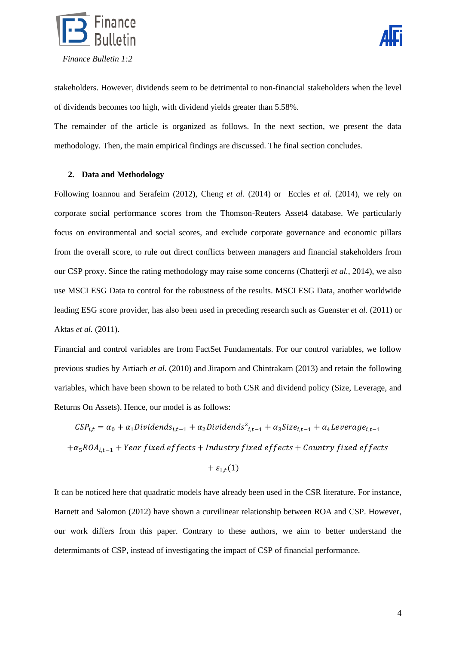

stakeholders. However, dividends seem to be detrimental to non-financial stakeholders when the level of dividends becomes too high, with dividend yields greater than 5.58%.

The remainder of the article is organized as follows. In the next section, we present the data methodology. Then, the main empirical findings are discussed. The final section concludes.

# **2. Data and Methodology**

Following Ioannou and Serafeim (2012), Cheng *et al*. (2014) or Eccles *et al.* (2014), we rely on corporate social performance scores from the Thomson-Reuters Asset4 database. We particularly focus on environmental and social scores, and exclude corporate governance and economic pillars from the overall score, to rule out direct conflicts between managers and financial stakeholders from our CSP proxy. Since the rating methodology may raise some concerns (Chatterji *et al.,* 2014), we also use MSCI ESG Data to control for the robustness of the results. MSCI ESG Data, another worldwide leading ESG score provider, has also been used in preceding research such as Guenster *et al.* (2011) or Aktas *et al.* (2011).

Financial and control variables are from FactSet Fundamentals. For our control variables, we follow previous studies by Artiach *et al.* (2010) and Jiraporn and Chintrakarn (2013) and retain the following variables, which have been shown to be related to both CSR and dividend policy (Size, Leverage, and Returns On Assets). Hence, our model is as follows:

 $CSP_{i,t} = \alpha_0 + \alpha_1 Dividends_{i,t-1} + \alpha_2 Dividends^2_{i}$  $+\alpha_5 ROA_{i,t-1}$  + Year fixed effects + Industry fixed effects + Country fixed effects

$$
+\varepsilon_{1,t}(1)
$$

It can be noticed here that quadratic models have already been used in the CSR literature. For instance, Barnett and Salomon (2012) have shown a curvilinear relationship between ROA and CSP. However, our work differs from this paper. Contrary to these authors, we aim to better understand the determimants of CSP, instead of investigating the impact of CSP of financial performance.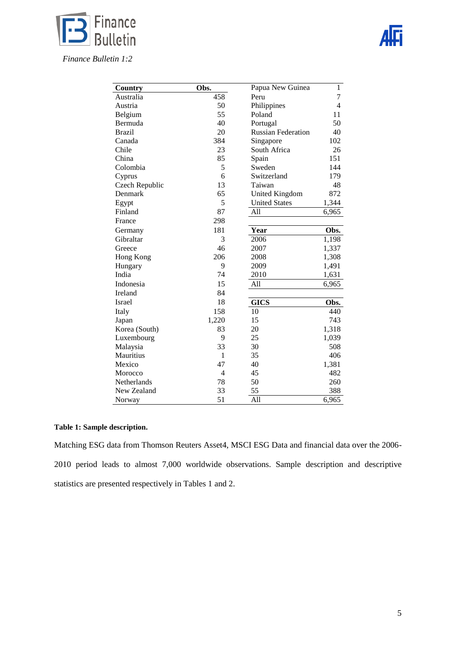

 *Finance Bulletin 1:2*

| Country        | Obs.           | Papua New Guinea          | $\mathbf{1}$   |
|----------------|----------------|---------------------------|----------------|
| Australia      | 458            | Peru                      | 7              |
| Austria        | 50             | Philippines               | $\overline{4}$ |
| Belgium        | 55             | Poland                    | 11             |
| Bermuda        | 40             | Portugal                  | 50             |
| <b>Brazil</b>  | 20             | <b>Russian Federation</b> | 40             |
| Canada         | 384            | Singapore                 | 102            |
| Chile          | 23             | South Africa              | 26             |
| China          | 85             | Spain                     | 151            |
| Colombia       | 5              | Sweden                    | 144            |
| Cyprus         | 6              | Switzerland               | 179            |
| Czech Republic | 13             | Taiwan                    | 48             |
| Denmark        | 65             | United Kingdom            | 872            |
| Egypt          | 5              | <b>United States</b>      | 1,344          |
| Finland        | 87             | All                       | 6,965          |
| France         | 298            |                           |                |
| Germany        | 181            | Year                      | Obs.           |
| Gibraltar      | 3              | 2006                      | 1,198          |
| Greece         | 46             | 2007                      | 1,337          |
| Hong Kong      | 206            | 2008                      | 1,308          |
| Hungary        | 9              | 2009                      | 1,491          |
| India          | 74             | 2010                      | 1,631          |
| Indonesia      | 15             | All                       | 6,965          |
| Ireland        | 84             |                           |                |
| Israel         | 18             | <b>GICS</b>               | Obs.           |
| Italy          | 158            | 10                        | 440            |
| Japan          | 1,220          | 15                        | 743            |
| Korea (South)  | 83             | 20                        | 1,318          |
| Luxembourg     | 9              | 25                        | 1,039          |
| Malaysia       | 33             | 30                        | 508            |
| Mauritius      | 1              | 35                        | 406            |
| Mexico         | 47             | 40                        | 1,381          |
| Morocco        | $\overline{4}$ | 45                        | 482            |
| Netherlands    | 78             | 50                        | 260            |
| New Zealand    | 33             | 55                        | 388            |
| Norway         | 51             | All                       | 6,965          |

# **Table 1: Sample description.**

Matching ESG data from Thomson Reuters Asset4, MSCI ESG Data and financial data over the 2006- 2010 period leads to almost 7,000 worldwide observations. Sample description and descriptive statistics are presented respectively in Tables 1 and 2.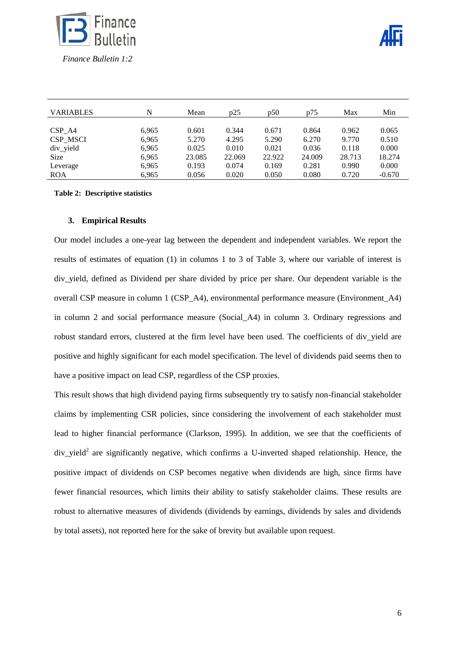

| <b>VARIABLES</b> | N     | Mean   | p25    | p50    | p75    | Max    | Min      |
|------------------|-------|--------|--------|--------|--------|--------|----------|
| CSP A4           | 6,965 | 0.601  | 0.344  | 0.671  | 0.864  | 0.962  | 0.065    |
| CSP_MSCI         | 6,965 | 5.270  | 4.295  | 5.290  | 6.270  | 9.770  | 0.510    |
| $div$ yield      | 6,965 | 0.025  | 0.010  | 0.021  | 0.036  | 0.118  | 0.000    |
| <b>Size</b>      | 6,965 | 23.085 | 22.069 | 22.922 | 24.009 | 28.713 | 18.274   |
| Leverage         | 6,965 | 0.193  | 0.074  | 0.169  | 0.281  | 0.990  | 0.000    |
| <b>ROA</b>       | 6.965 | 0.056  | 0.020  | 0.050  | 0.080  | 0.720  | $-0.670$ |

**Table 2: Descriptive statistics**

#### **3. Empirical Results**

Our model includes a one-year lag between the dependent and independent variables. We report the results of estimates of equation (1) in columns 1 to 3 of Table 3, where our variable of interest is div\_yield, defined as Dividend per share divided by price per share. Our dependent variable is the overall CSP measure in column 1 (CSP\_A4), environmental performance measure (Environment\_A4) in column 2 and social performance measure (Social\_A4) in column 3. Ordinary regressions and robust standard errors, clustered at the firm level have been used. The coefficients of div\_yield are positive and highly significant for each model specification. The level of dividends paid seems then to have a positive impact on lead CSP, regardless of the CSP proxies.

This result shows that high dividend paying firms subsequently try to satisfy non-financial stakeholder claims by implementing CSR policies, since considering the involvement of each stakeholder must lead to higher financial performance (Clarkson, 1995). In addition, we see that the coefficients of  $div$ -yield<sup>2</sup> are significantly negative, which confirms a U-inverted shaped relationship. Hence, the positive impact of dividends on CSP becomes negative when dividends are high, since firms have fewer financial resources, which limits their ability to satisfy stakeholder claims. These results are robust to alternative measures of dividends (dividends by earnings, dividends by sales and dividends by total assets), not reported here for the sake of brevity but available upon request.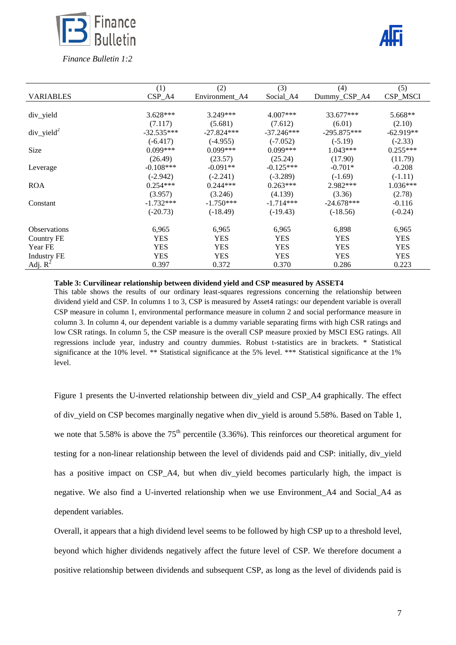

|                     | (1)          | (2)            | (3)          | (4)           | (5)         |
|---------------------|--------------|----------------|--------------|---------------|-------------|
| <b>VARIABLES</b>    | $CSP\_A4$    | Environment A4 | Social_A4    | Dummy_CSP_A4  | CSP_MSCI    |
|                     |              |                |              |               |             |
| div yield           | $3.628***$   | $3.249***$     | $4.007***$   | 33.677***     | 5.668**     |
|                     | (7.117)      | (5.681)        | (7.612)      | (6.01)        | (2.10)      |
| $div\_yield^2$      | $-32.535***$ | $-27.824***$   | $-37.246***$ | $-295.875***$ | $-62.919**$ |
|                     | $(-6.417)$   | $(-4.955)$     | $(-7.052)$   | $(-5.19)$     | $(-2.33)$   |
| Size                | $0.099***$   | $0.099***$     | $0.099***$   | $1.043***$    | $0.255***$  |
|                     | (26.49)      | (23.57)        | (25.24)      | (17.90)       | (11.79)     |
| Leverage            | $-0.108***$  | $-0.091**$     | $-0.125***$  | $-0.701*$     | $-0.208$    |
|                     | $(-2.942)$   | $(-2.241)$     | $(-3.289)$   | $(-1.69)$     | $(-1.11)$   |
| <b>ROA</b>          | $0.254***$   | $0.244***$     | $0.263***$   | 2.982***      | $1.036***$  |
|                     | (3.957)      | (3.246)        | (4.139)      | (3.36)        | (2.78)      |
| Constant            | $-1.732***$  | $-1.750***$    | $-1.714***$  | $-24.678***$  | $-0.116$    |
|                     | $(-20.73)$   | $(-18.49)$     | $(-19.43)$   | $(-18.56)$    | $(-0.24)$   |
| <b>Observations</b> | 6,965        | 6,965          | 6,965        | 6,898         | 6,965       |
| Country FE          | <b>YES</b>   | <b>YES</b>     | <b>YES</b>   | <b>YES</b>    | <b>YES</b>  |
| Year FE             | <b>YES</b>   | <b>YES</b>     | <b>YES</b>   | <b>YES</b>    | <b>YES</b>  |
|                     | <b>YES</b>   | <b>YES</b>     | <b>YES</b>   | <b>YES</b>    | <b>YES</b>  |
| <b>Industry FE</b>  |              |                |              |               |             |
| Adj. $R^2$          | 0.397        | 0.372          | 0.370        | 0.286         | 0.223       |

**Table 3: Curvilinear relationship between dividend yield and CSP measured by ASSET4**

This table shows the results of our ordinary least-squares regressions concerning the relationship between dividend yield and CSP. In columns 1 to 3, CSP is measured by Asset4 ratings: our dependent variable is overall CSP measure in column 1, environmental performance measure in column 2 and social performance measure in column 3. In column 4, our dependent variable is a dummy variable separating firms with high CSR ratings and low CSR ratings. In column 5, the CSP measure is the overall CSP measure proxied by MSCI ESG ratings. All regressions include year, industry and country dummies. Robust t-statistics are in brackets. \* Statistical significance at the 10% level. \*\* Statistical significance at the 5% level. \*\*\* Statistical significance at the 1% level.

Figure 1 presents the U-inverted relationship between div yield and CSP A4 graphically. The effect of div yield on CSP becomes marginally negative when div yield is around 5.58%. Based on Table 1, we note that 5.58% is above the  $75<sup>th</sup>$  percentile (3.36%). This reinforces our theoretical argument for testing for a non-linear relationship between the level of dividends paid and CSP: initially, div\_yield has a positive impact on CSP\_A4, but when div\_yield becomes particularly high, the impact is negative. We also find a U-inverted relationship when we use Environment\_A4 and Social\_A4 as dependent variables.

Overall, it appears that a high dividend level seems to be followed by high CSP up to a threshold level, beyond which higher dividends negatively affect the future level of CSP. We therefore document a positive relationship between dividends and subsequent CSP, as long as the level of dividends paid is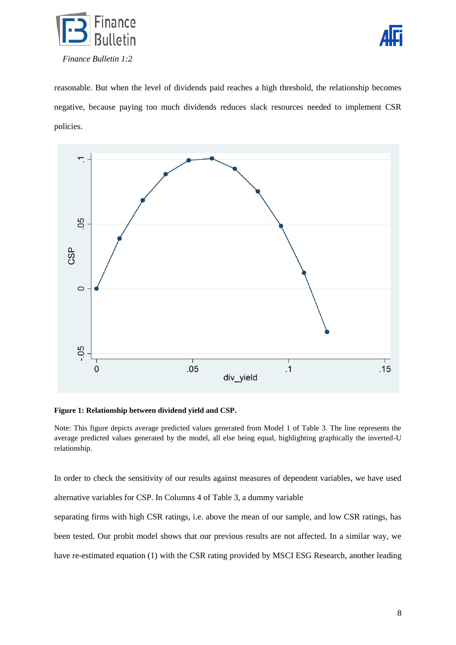



reasonable. But when the level of dividends paid reaches a high threshold, the relationship becomes negative, because paying too much dividends reduces slack resources needed to implement CSR policies.



#### **Figure 1: Relationship between dividend yield and CSP.**

Note: This figure depicts average predicted values generated from Model 1 of Table 3. The line represents the average predicted values generated by the model, all else being equal, highlighting graphically the inverted-U relationship.

In order to check the sensitivity of our results against measures of dependent variables, we have used alternative variables for CSP. In Columns 4 of Table 3, a dummy variable separating firms with high CSR ratings, i.e. above the mean of our sample, and low CSR ratings, has been tested. Our probit model shows that our previous results are not affected. In a similar way, we have re-estimated equation (1) with the CSR rating provided by MSCI ESG Research, another leading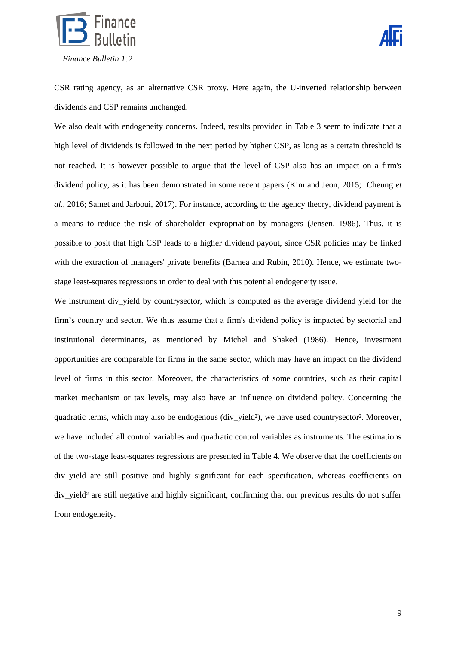



CSR rating agency, as an alternative CSR proxy. Here again, the U-inverted relationship between dividends and CSP remains unchanged.

We also dealt with endogeneity concerns. Indeed, results provided in Table 3 seem to indicate that a high level of dividends is followed in the next period by higher CSP, as long as a certain threshold is not reached. It is however possible to argue that the level of CSP also has an impact on a firm's dividend policy, as it has been demonstrated in some recent papers (Kim and Jeon, 2015; Cheung *et al.*, 2016; Samet and Jarboui, 2017). For instance, according to the agency theory, dividend payment is a means to reduce the risk of shareholder expropriation by managers (Jensen, 1986). Thus, it is possible to posit that high CSP leads to a higher dividend payout, since CSR policies may be linked with the extraction of managers' private benefits (Barnea and Rubin, 2010). Hence, we estimate twostage least-squares regressions in order to deal with this potential endogeneity issue.

We instrument div yield by countrysector, which is computed as the average dividend yield for the firm's country and sector. We thus assume that a firm's dividend policy is impacted by sectorial and institutional determinants, as mentioned by Michel and Shaked (1986). Hence, investment opportunities are comparable for firms in the same sector, which may have an impact on the dividend level of firms in this sector. Moreover, the characteristics of some countries, such as their capital market mechanism or tax levels, may also have an influence on dividend policy. Concerning the quadratic terms, which may also be endogenous (div yield<sup>2</sup>), we have used countrysector<sup>2</sup>. Moreover, we have included all control variables and quadratic control variables as instruments. The estimations of the two-stage least-squares regressions are presented in Table 4. We observe that the coefficients on div\_yield are still positive and highly significant for each specification, whereas coefficients on div yield<sup>2</sup> are still negative and highly significant, confirming that our previous results do not suffer from endogeneity.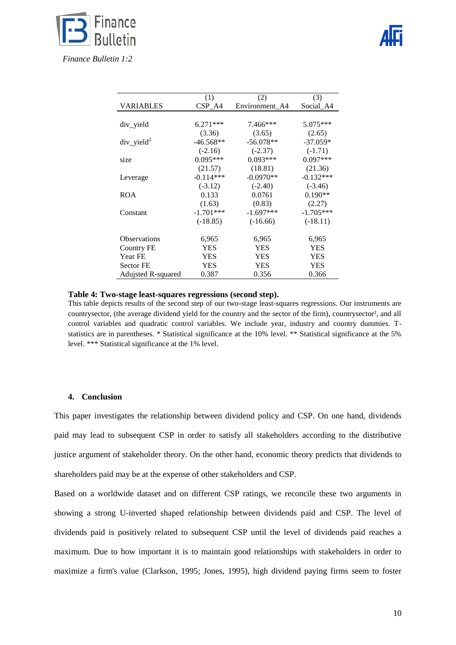

|                          | (1)         | (2)            | (3)         |
|--------------------------|-------------|----------------|-------------|
| VARIABLES                | $CSP\_A4$   | Environment A4 | Social_A4   |
|                          |             |                |             |
| div yield                | $6.271***$  | $7.466***$     | $5.075***$  |
|                          | (3.36)      | (3.65)         | (2.65)      |
| $div$ yield <sup>2</sup> | $-46.568**$ | $-56.078**$    | $-37.059*$  |
|                          | $(-2.16)$   | $(-2.37)$      | $(-1.71)$   |
| size                     | $0.095***$  | $0.093***$     | $0.097***$  |
|                          | (21.57)     | (18.81)        | (21.36)     |
| Leverage                 | $-0.114***$ | $-0.0970**$    | $-0.132***$ |
|                          | $(-3.12)$   | $(-2.40)$      | $(-3.46)$   |
| <b>ROA</b>               | 0.133       | 0.0761         | $0.190**$   |
|                          | (1.63)      | (0.83)         | (2.27)      |
| Constant                 | $-1.701***$ | $-1.697***$    | $-1.705***$ |
|                          | $(-18.85)$  | $(-16.66)$     | $(-18.11)$  |
|                          |             |                |             |
| <b>Observations</b>      | 6,965       | 6,965          | 6,965       |
| Country FE               | <b>YES</b>  | <b>YES</b>     | <b>YES</b>  |
| Year FE                  | YES         | <b>YES</b>     | <b>YES</b>  |
| <b>Sector FE</b>         | YES         | <b>YES</b>     | <b>YES</b>  |
| Adujsted R-squared       | 0.387       | 0.356          | 0.366       |

#### **Table 4: Two-stage least-squares regressions (second step).**

This table depicts results of the second step of our two-stage least-squares regressions. Our instruments are countrysector, (the average dividend yield for the country and the sector of the firm), countrysector<sup>2</sup>, and all control variables and quadratic control variables. We include year, industry and country dummies. Tstatistics are in parentheses. \* Statistical significance at the 10% level. \*\* Statistical significance at the 5% level. \*\*\* Statistical significance at the 1% level.

### **4. Conclusion**

This paper investigates the relationship between dividend policy and CSP. On one hand, dividends paid may lead to subsequent CSP in order to satisfy all stakeholders according to the distributive justice argument of stakeholder theory. On the other hand, economic theory predicts that dividends to shareholders paid may be at the expense of other stakeholders and CSP.

Based on a worldwide dataset and on different CSP ratings, we reconcile these two arguments in showing a strong U-inverted shaped relationship between dividends paid and CSP. The level of dividends paid is positively related to subsequent CSP until the level of dividends paid reaches a maximum. Due to how important it is to maintain good relationships with stakeholders in order to maximize a firm's value (Clarkson, 1995; Jones, 1995), high dividend paying firms seem to foster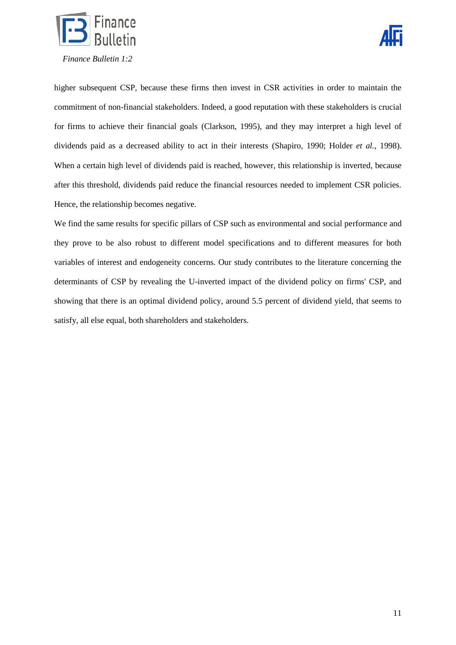



higher subsequent CSP, because these firms then invest in CSR activities in order to maintain the commitment of non-financial stakeholders. Indeed, a good reputation with these stakeholders is crucial for firms to achieve their financial goals (Clarkson, 1995), and they may interpret a high level of dividends paid as a decreased ability to act in their interests (Shapiro, 1990; Holder *et al.*, 1998). When a certain high level of dividends paid is reached, however, this relationship is inverted, because after this threshold, dividends paid reduce the financial resources needed to implement CSR policies. Hence, the relationship becomes negative.

We find the same results for specific pillars of CSP such as environmental and social performance and they prove to be also robust to different model specifications and to different measures for both variables of interest and endogeneity concerns. Our study contributes to the literature concerning the determinants of CSP by revealing the U-inverted impact of the dividend policy on firms' CSP, and showing that there is an optimal dividend policy, around 5.5 percent of dividend yield, that seems to satisfy, all else equal, both shareholders and stakeholders.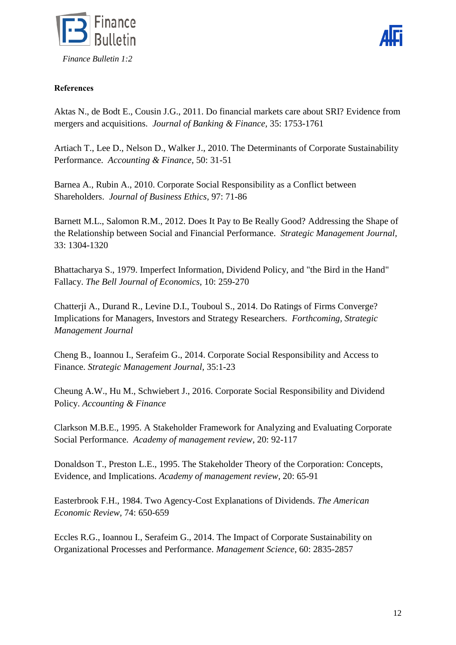



# **References**

Aktas N., de Bodt E., Cousin J.G., 2011. Do financial markets care about SRI? Evidence from mergers and acquisitions. *Journal of Banking & Finance,* 35: 1753-1761

Artiach T., Lee D., Nelson D., Walker J., 2010. The Determinants of Corporate Sustainability Performance. *Accounting & Finance,* 50: 31-51

Barnea A., Rubin A., 2010. Corporate Social Responsibility as a Conflict between Shareholders. *Journal of Business Ethics,* 97: 71-86

Barnett M.L., Salomon R.M., 2012. Does It Pay to Be Really Good? Addressing the Shape of the Relationship between Social and Financial Performance. *Strategic Management Journal,* 33: 1304-1320

Bhattacharya S., 1979. Imperfect Information, Dividend Policy, and "the Bird in the Hand" Fallacy. *The Bell Journal of Economics,* 10: 259-270

Chatterji A., Durand R., Levine D.I., Touboul S., 2014. Do Ratings of Firms Converge? Implications for Managers, Investors and Strategy Researchers. *Forthcoming, Strategic Management Journal*

Cheng B., Ioannou I., Serafeim G., 2014. Corporate Social Responsibility and Access to Finance. *Strategic Management Journal,* 35:1-23

Cheung A.W., Hu M., Schwiebert J., 2016. Corporate Social Responsibility and Dividend Policy. *Accounting & Finance*

Clarkson M.B.E., 1995. A Stakeholder Framework for Analyzing and Evaluating Corporate Social Performance. *Academy of management review*, 20: 92-117

Donaldson T., Preston L.E., 1995. The Stakeholder Theory of the Corporation: Concepts, Evidence, and Implications. *Academy of management review,* 20: 65-91

Easterbrook F.H., 1984. Two Agency-Cost Explanations of Dividends. *The American Economic Review,* 74: 650-659

Eccles R.G., Ioannou I., Serafeim G., 2014. The Impact of Corporate Sustainability on Organizational Processes and Performance. *Management Science,* 60: 2835-2857